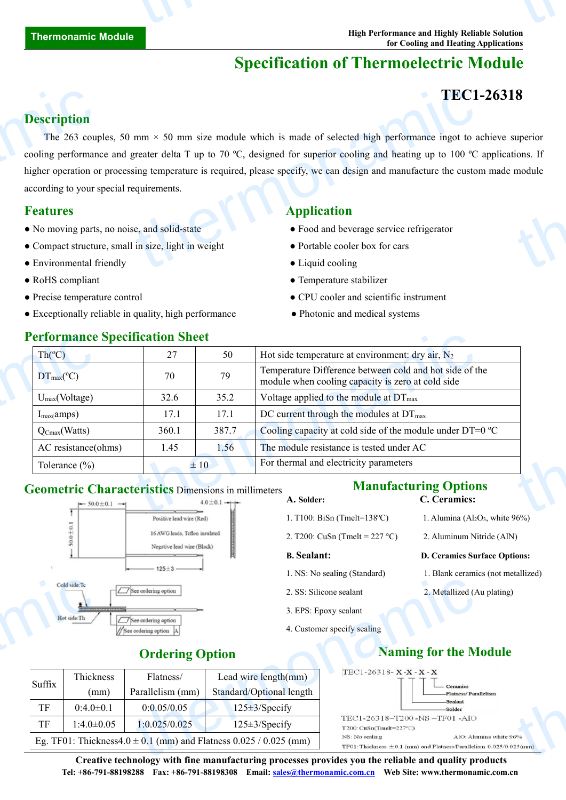# **Specification of Thermoelectric Module**

# **TEC1-26318**

#### **Description**

The 263 couples, 50 mm  $\times$  50 mm size module which is made of selected high performance ingot to achieve superior cooling performance and greater delta T up to 70 °C, designed for superior cooling and heating up to 100 °C applications. If higher operation or processing temperature is required, please specify, we can design and manufacture the custom made module according to your special requirements. **Description**<br>The 263 coupled<br>cooling performan<br>higher operation of<br>according to your s<br>**Features**<br>No moving parts<br>Compact structu<br>**Compact structu**<br>Be Environmental f TEC1<br>
mm × 50 mm size module which is made of selected high performance ingot to a<br>
greater delta T up to 70 °C, designed for superior cooling and heating up to 100 °C<br>
sing temperature is required, please specify, we can **8**<br>uperior<br>ions. If<br>module

- No moving parts, no noise, and solid-state **•** Food and beverage service refrigerator
- Compact structure, small in size, light in weight Portable cooler box for cars
- Environmental friendly **Cooling Cooling Liquid cooling**
- 
- 
- Exceptionally reliable in quality, high performance Photonic and medical systems

#### **Performance Specification Sheet**

#### **Features Application**

- 
- 
- 
- RoHS compliant Temperature stabilizer
- Precise temperature control CPU cooler and scientific instrument
	-

| <b>Performance Specification Sheet</b>              |       |       |                                                                                                              |
|-----------------------------------------------------|-------|-------|--------------------------------------------------------------------------------------------------------------|
| $Th(^{\circ}C)$                                     | 27    | 50    | Hot side temperature at environment: dry air, $N_2$                                                          |
| $DT_{\text{max}}(^{\circ}C)$                        | 70    | 79    | Temperature Difference between cold and hot side of the<br>module when cooling capacity is zero at cold side |
| $U_{max}(Voltage)$                                  | 32.6  | 35.2  | Voltage applied to the module at DT <sub>max</sub>                                                           |
| $I_{max(amps)}$                                     | 17.1  | 17.1  | DC current through the modules at $DT_{\text{max}}$                                                          |
| $\sqrt{\mathrm{Q}_{\mathrm{Cmax}}(\mathrm{Watts})}$ | 360.1 | 387.7 | Cooling capacity at cold side of the module under $DT=0$ °C                                                  |
| AC resistance(ohms)                                 | 1.45  | 1.56  | The module resistance is tested under AC                                                                     |
| Tolerance $(\% )$                                   |       | ±10   | For thermal and electricity parameters                                                                       |

# Geometric Characteristics Dimensions in millimeters Manufacturing Options<br> **A.** Solder: C. Ceramics:



# **A. Solder: C. Ceramics:**

- 1. T100: BiSn (Tmelt=138°C) 1. Alumina  $(A_2O_3, \text{ white } 96\%)$
- 2. T200: CuSn (Tmelt =  $227 \text{ °C}$ ) 2. Aluminum Nitride (AlN)

#### **B. Sealant: D. Ceramics Surface Options:**

- 1. NS: No sealing (Standard) 1. Blank ceramics (not metallized)
- 2. SS: Silicone sealant 2. Metallized (Au plating)
- 3. EPS: Epoxy sealant
- 4. Customer specify sealing

## **Ordering Option Naming** for the Module



|        | Cold side:Tc<br>See ordering option |  |                                               |                                                                                                                                                                                                                                           | 2. SS: Silicone sealant     |                                                                        |
|--------|-------------------------------------|--|-----------------------------------------------|-------------------------------------------------------------------------------------------------------------------------------------------------------------------------------------------------------------------------------------------|-----------------------------|------------------------------------------------------------------------|
|        | Hot side:Th                         |  |                                               |                                                                                                                                                                                                                                           | 3. EPS: Epoxy sealant       |                                                                        |
|        |                                     |  | See ordering option<br>/See ordering option A |                                                                                                                                                                                                                                           | 4. Customer specify sealing |                                                                        |
|        |                                     |  | <b>Ordering Option</b>                        |                                                                                                                                                                                                                                           |                             | <b>Naming for the M</b>                                                |
| Suffix | Thickness                           |  | Flatness/                                     | Lead wire $length(mm)$                                                                                                                                                                                                                    | TEC1-26318- $X-X-X-X$       |                                                                        |
|        | (mm)                                |  | Parallelism (mm)                              | Standard/Optional length                                                                                                                                                                                                                  |                             | Ceramics<br>Flatness/Para                                              |
| TF     | $0:4.0 \pm 0.1$                     |  | 0:0.05/0.05                                   | $125\pm 3$ /Specify                                                                                                                                                                                                                       |                             | <b>Sealant</b><br><b>Solder</b><br>TEC1-26318-T200-NS-TF01-AlO         |
| TF     | $1:4.0 \pm 0.05$                    |  | 1:0.025/0.025                                 | $125 \pm 3$ /Specify                                                                                                                                                                                                                      | $T200$ : CuSn(Tmelt=227°C)  |                                                                        |
|        |                                     |  |                                               | Eg. TF01: Thickness4.0 $\pm$ 0.1 (mm) and Flatness 0.025 / 0.025 (mm)                                                                                                                                                                     | NS: No sealing              | AIO: Alur<br>$TF01$ : Thickness $\pm 0.1$ (mm) and Flatness/Parallelis |
|        |                                     |  |                                               | $\alpha$ and the state of the state $\alpha$ and $\alpha$ is a sequence of the state of the state of the state of the state of the state of the state of the state of the state of the state of the state of the state of the state of th |                             |                                                                        |

**Creative technology with fine manufacturing processes provides you the reliable and quality products Tel: +86-791-88198288 Fax: +86-791-88198308 Email: sales@thermonamic.com.cn Web Site: www.thermonamic.com.cn**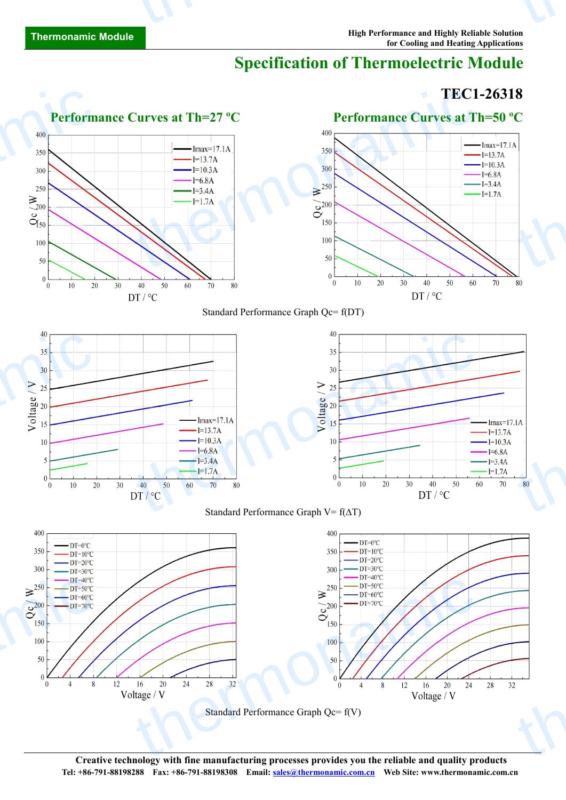# **Specification of Thermoelectric Module**

### **TEC1-26318**